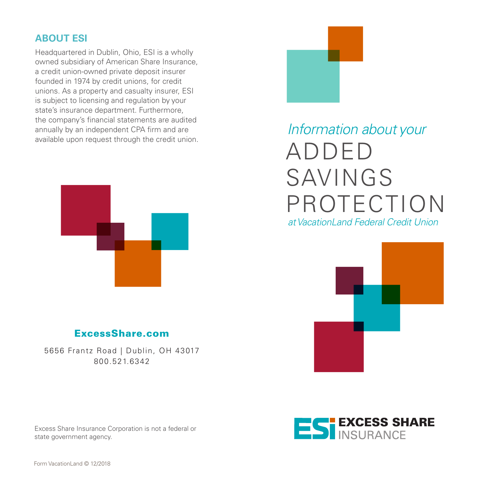### **ABOUT ESI**

Headquartered in Dublin, Ohio, ESI is a wholly owned subsidiary of American Share Insurance, a credit union-owned private deposit insurer founded in 1974 by credit unions, for credit unions. As a property and casualty insurer, ESI is subject to licensing and regulation by your state's insurance department. Furthermore, the company's financial statements are audited annually by an independent CPA firm and are available upon request through the credit union.



# *Information about your* ADDED SAVINGS PROTECTION *at VacationLand Federal Credit Union*



## ExcessShare.com

5656 Frantz Road | Dublin, OH 43017 800.521.6342

Excess Share Insurance Corporation is not a federal or state government agency.